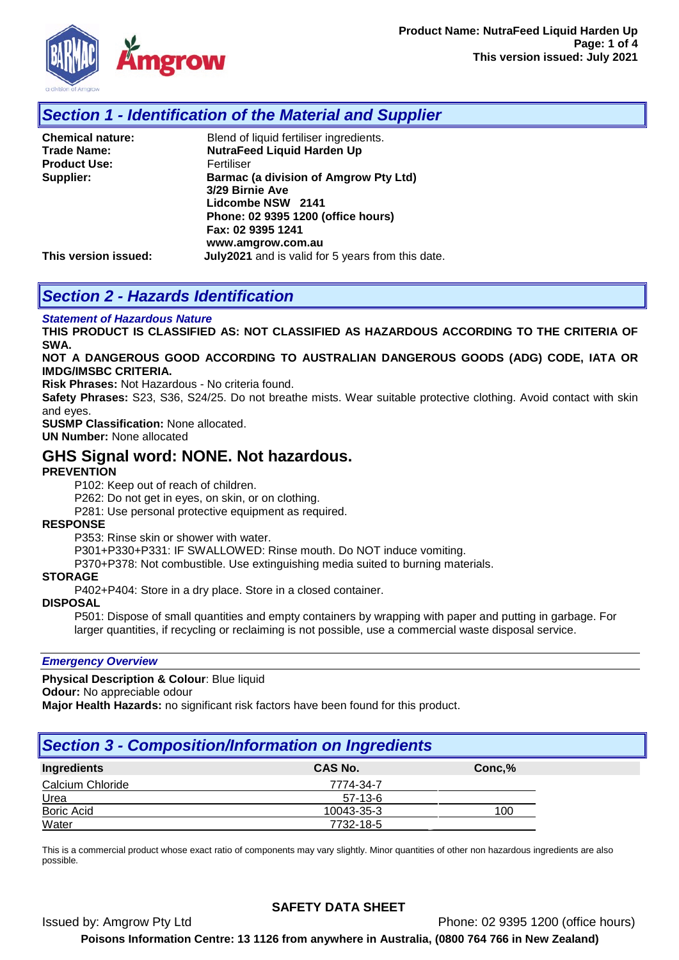

## *Section 1 - Identification of the Material and Supplier*

| <b>Chemical nature:</b> | Blend of liquid fertiliser ingredients.           |
|-------------------------|---------------------------------------------------|
| <b>Trade Name:</b>      | <b>NutraFeed Liquid Harden Up</b>                 |
| <b>Product Use:</b>     | Fertiliser                                        |
| Supplier:               | Barmac (a division of Amgrow Pty Ltd)             |
|                         | 3/29 Birnie Ave                                   |
|                         | Lidcombe NSW 2141                                 |
|                         | Phone: 02 9395 1200 (office hours)                |
|                         | Fax: 02 9395 1241                                 |
|                         | www.amgrow.com.au                                 |
| This version issued:    | July2021 and is valid for 5 years from this date. |

# *Section 2 - Hazards Identification*

#### *Statement of Hazardous Nature*

**THIS PRODUCT IS CLASSIFIED AS: NOT CLASSIFIED AS HAZARDOUS ACCORDING TO THE CRITERIA OF SWA.** 

#### **NOT A DANGEROUS GOOD ACCORDING TO AUSTRALIAN DANGEROUS GOODS (ADG) CODE, IATA OR IMDG/IMSBC CRITERIA.**

**Risk Phrases:** Not Hazardous - No criteria found.

**Safety Phrases:** S23, S36, S24/25. Do not breathe mists. Wear suitable protective clothing. Avoid contact with skin and eyes.

**SUSMP Classification:** None allocated.

**UN Number:** None allocated

### **GHS Signal word: NONE. Not hazardous.**

#### **PREVENTION**

P102: Keep out of reach of children.

P262: Do not get in eyes, on skin, or on clothing.

P281: Use personal protective equipment as required.

#### **RESPONSE**

P353: Rinse skin or shower with water.

P301+P330+P331: IF SWALLOWED: Rinse mouth. Do NOT induce vomiting.

P370+P378: Not combustible. Use extinguishing media suited to burning materials.

#### **STORAGE**

P402+P404: Store in a dry place. Store in a closed container.

#### **DISPOSAL**

P501: Dispose of small quantities and empty containers by wrapping with paper and putting in garbage. For larger quantities, if recycling or reclaiming is not possible, use a commercial waste disposal service.

#### *Emergency Overview*

**Physical Description & Colour**: Blue liquid

**Odour:** No appreciable odour

**Major Health Hazards:** no significant risk factors have been found for this product.

## *Section 3 - Composition/Information on Ingredients*

| Ingredients       | CAS No.    | Conc, % |
|-------------------|------------|---------|
| Calcium Chloride  | 7774-34-7  |         |
| Urea              | $57-13-6$  |         |
| <b>Boric Acid</b> | 10043-35-3 | 100     |
| Water             | 7732-18-5  |         |

This is a commercial product whose exact ratio of components may vary slightly. Minor quantities of other non hazardous ingredients are also possible.

Issued by: Amgrow Pty Ltd Phone: 02 9395 1200 (office hours)

**Poisons Information Centre: 13 1126 from anywhere in Australia, (0800 764 766 in New Zealand)**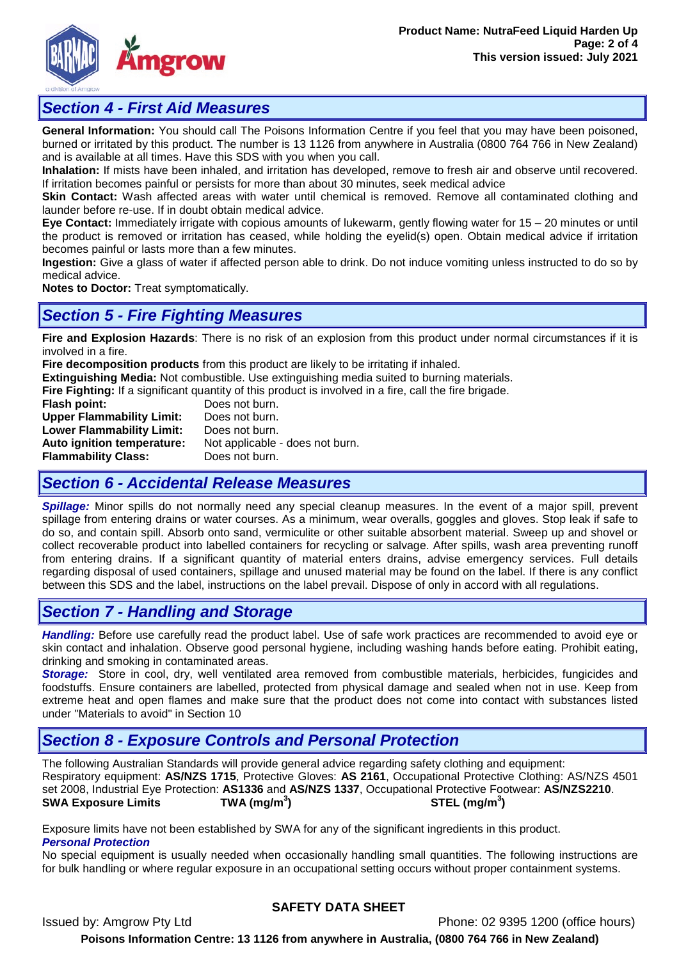

## *Section 4 - First Aid Measures*

**General Information:** You should call The Poisons Information Centre if you feel that you may have been poisoned, burned or irritated by this product. The number is 13 1126 from anywhere in Australia (0800 764 766 in New Zealand) and is available at all times. Have this SDS with you when you call.

**Inhalation:** If mists have been inhaled, and irritation has developed, remove to fresh air and observe until recovered. If irritation becomes painful or persists for more than about 30 minutes, seek medical advice

**Skin Contact:** Wash affected areas with water until chemical is removed. Remove all contaminated clothing and launder before re-use. If in doubt obtain medical advice.

**Eye Contact:** Immediately irrigate with copious amounts of lukewarm, gently flowing water for 15 – 20 minutes or until the product is removed or irritation has ceased, while holding the eyelid(s) open. Obtain medical advice if irritation becomes painful or lasts more than a few minutes.

**Ingestion:** Give a glass of water if affected person able to drink. Do not induce vomiting unless instructed to do so by medical advice.

**Notes to Doctor:** Treat symptomatically.

## *Section 5 - Fire Fighting Measures*

**Fire and Explosion Hazards**: There is no risk of an explosion from this product under normal circumstances if it is involved in a fire.

**Fire decomposition products** from this product are likely to be irritating if inhaled.

**Extinguishing Media:** Not combustible. Use extinguishing media suited to burning materials.

**Fire Fighting:** If a significant quantity of this product is involved in a fire, call the fire brigade.<br>**Flash point:** Does not burn.

**Does not burn.**<br>Does not burn. **Upper Flammability Limit:** Does not burn.<br> **Lower Flammability Limit:** Does not burn. **Lower Flammability Limit:**<br>Auto ignition temperature: Not applicable - does not burn. **Flammability Class:** Does not burn.

## *Section 6 - Accidental Release Measures*

*Spillage:* Minor spills do not normally need any special cleanup measures. In the event of a major spill, prevent spillage from entering drains or water courses. As a minimum, wear overalls, goggles and gloves. Stop leak if safe to do so, and contain spill. Absorb onto sand, vermiculite or other suitable absorbent material. Sweep up and shovel or collect recoverable product into labelled containers for recycling or salvage. After spills, wash area preventing runoff from entering drains. If a significant quantity of material enters drains, advise emergency services. Full details regarding disposal of used containers, spillage and unused material may be found on the label. If there is any conflict between this SDS and the label, instructions on the label prevail. Dispose of only in accord with all regulations.

## *Section 7 - Handling and Storage*

*Handling:* Before use carefully read the product label. Use of safe work practices are recommended to avoid eye or skin contact and inhalation. Observe good personal hygiene, including washing hands before eating. Prohibit eating, drinking and smoking in contaminated areas.

*Storage:*Store in cool, dry, well ventilated area removed from combustible materials, herbicides, fungicides and foodstuffs. Ensure containers are labelled, protected from physical damage and sealed when not in use. Keep from extreme heat and open flames and make sure that the product does not come into contact with substances listed under "Materials to avoid" in Section 10

# *Section 8 - Exposure Controls and Personal Protection*

The following Australian Standards will provide general advice regarding safety clothing and equipment: Respiratory equipment: **AS/NZS 1715**, Protective Gloves: **AS 2161**, Occupational Protective Clothing: AS/NZS 4501 set 2008, Industrial Eye Protection: **AS1336** and **AS/NZS 1337**, Occupational Protective Footwear: **AS/NZS2210**. **SWA Exposure Limits ) STEL (mg/m<sup>3</sup> )**

Exposure limits have not been established by SWA for any of the significant ingredients in this product. *Personal Protection*

No special equipment is usually needed when occasionally handling small quantities. The following instructions are for bulk handling or where regular exposure in an occupational setting occurs without proper containment systems.

### **SAFETY DATA SHEET**

Issued by: Amgrow Pty Ltd Phone: 02 9395 1200 (office hours) **Poisons Information Centre: 13 1126 from anywhere in Australia, (0800 764 766 in New Zealand)**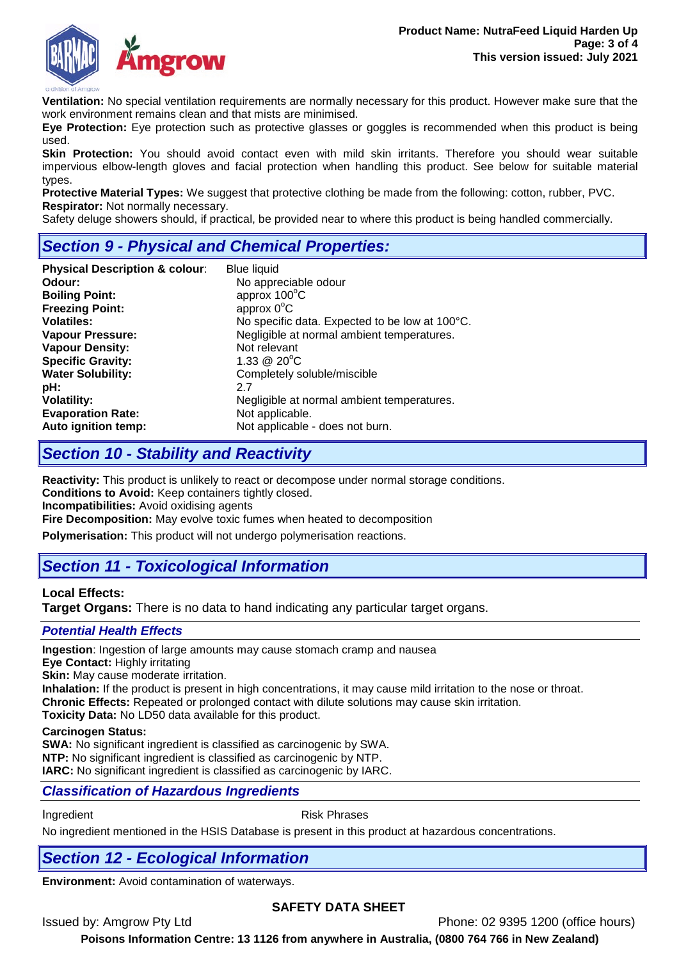

**Ventilation:** No special ventilation requirements are normally necessary for this product. However make sure that the work environment remains clean and that mists are minimised.

**Eye Protection:** Eye protection such as protective glasses or goggles is recommended when this product is being used.

**Skin Protection:** You should avoid contact even with mild skin irritants. Therefore you should wear suitable impervious elbow-length gloves and facial protection when handling this product. See below for suitable material types.

**Protective Material Types:** We suggest that protective clothing be made from the following: cotton, rubber, PVC. **Respirator:** Not normally necessary.

Safety deluge showers should, if practical, be provided near to where this product is being handled commercially.

# *Section 9 - Physical and Chemical Properties:*

| <b>Physical Description &amp; colour:</b><br>Odour:<br><b>Boiling Point:</b><br><b>Freezing Point:</b><br><b>Volatiles:</b><br><b>Vapour Pressure:</b><br><b>Vapour Density:</b><br><b>Specific Gravity:</b> | <b>Blue liquid</b><br>No appreciable odour<br>approx 100°C<br>approx $0^{\circ}$ C<br>No specific data. Expected to be low at 100°C.<br>Negligible at normal ambient temperatures.<br>Not relevant<br>1.33 @ $20^{\circ}$ C |
|--------------------------------------------------------------------------------------------------------------------------------------------------------------------------------------------------------------|-----------------------------------------------------------------------------------------------------------------------------------------------------------------------------------------------------------------------------|
| <b>Water Solubility:</b>                                                                                                                                                                                     | Completely soluble/miscible                                                                                                                                                                                                 |
| pH:                                                                                                                                                                                                          | 2.7                                                                                                                                                                                                                         |
| <b>Volatility:</b>                                                                                                                                                                                           | Negligible at normal ambient temperatures.                                                                                                                                                                                  |
| <b>Evaporation Rate:</b>                                                                                                                                                                                     | Not applicable.                                                                                                                                                                                                             |
| Auto ignition temp:                                                                                                                                                                                          | Not applicable - does not burn.                                                                                                                                                                                             |

## *Section 10 - Stability and Reactivity*

**Reactivity:** This product is unlikely to react or decompose under normal storage conditions. **Conditions to Avoid:** Keep containers tightly closed.

**Incompatibilities:** Avoid oxidising agents

**Fire Decomposition:** May evolve toxic fumes when heated to decomposition

**Polymerisation:** This product will not undergo polymerisation reactions.

# *Section 11 - Toxicological Information*

### **Local Effects:**

**Target Organs:** There is no data to hand indicating any particular target organs.

### *Potential Health Effects*

**Ingestion**: Ingestion of large amounts may cause stomach cramp and nausea

**Eye Contact:** Highly irritating

**Skin:** May cause moderate irritation.

**Inhalation:** If the product is present in high concentrations, it may cause mild irritation to the nose or throat. **Chronic Effects:** Repeated or prolonged contact with dilute solutions may cause skin irritation.

**Toxicity Data:** No LD50 data available for this product.

#### **Carcinogen Status:**

**SWA:** No significant ingredient is classified as carcinogenic by SWA. **NTP:** No significant ingredient is classified as carcinogenic by NTP. **IARC:** No significant ingredient is classified as carcinogenic by IARC.

### *Classification of Hazardous Ingredients*

Ingredient **Risk Phrases** 

No ingredient mentioned in the HSIS Database is present in this product at hazardous concentrations.

# *Section 12 - Ecological Information*

**Environment:** Avoid contamination of waterways.

### **SAFETY DATA SHEET**

Issued by: Amgrow Pty Ltd Phone: 02 9395 1200 (office hours)

**Poisons Information Centre: 13 1126 from anywhere in Australia, (0800 764 766 in New Zealand)**